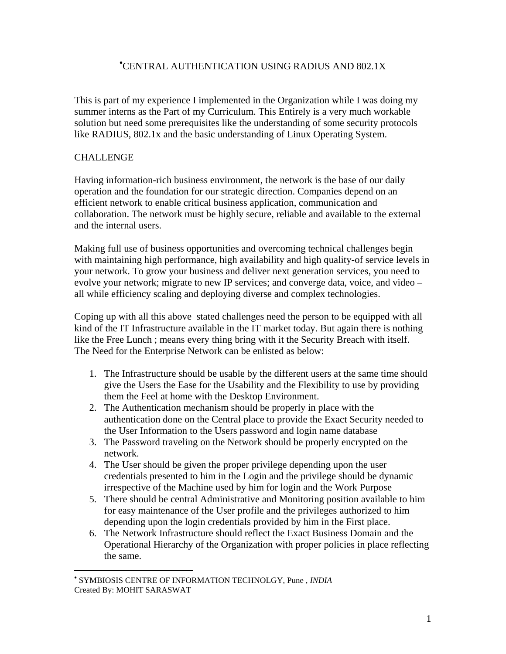# [•](#page-0-0) CENTRAL AUTHENTICATION USING RADIUS AND 802.1X

This is part of my experience I implemented in the Organization while I was doing my summer interns as the Part of my Curriculum. This Entirely is a very much workable solution but need some prerequisites like the understanding of some security protocols like RADIUS, 802.1x and the basic understanding of Linux Operating System.

## **CHALLENGE**

 $\overline{a}$ 

Having information-rich business environment, the network is the base of our daily operation and the foundation for our strategic direction. Companies depend on an efficient network to enable critical business application, communication and collaboration. The network must be highly secure, reliable and available to the external and the internal users.

Making full use of business opportunities and overcoming technical challenges begin with maintaining high performance, high availability and high quality-of service levels in your network. To grow your business and deliver next generation services, you need to evolve your network; migrate to new IP services; and converge data, voice, and video – all while efficiency scaling and deploying diverse and complex technologies.

Coping up with all this above stated challenges need the person to be equipped with all kind of the IT Infrastructure available in the IT market today. But again there is nothing like the Free Lunch ; means every thing bring with it the Security Breach with itself. The Need for the Enterprise Network can be enlisted as below:

- 1. The Infrastructure should be usable by the different users at the same time should give the Users the Ease for the Usability and the Flexibility to use by providing them the Feel at home with the Desktop Environment.
- 2. The Authentication mechanism should be properly in place with the authentication done on the Central place to provide the Exact Security needed to the User Information to the Users password and login name database
- 3. The Password traveling on the Network should be properly encrypted on the network.
- 4. The User should be given the proper privilege depending upon the user credentials presented to him in the Login and the privilege should be dynamic irrespective of the Machine used by him for login and the Work Purpose
- 5. There should be central Administrative and Monitoring position available to him for easy maintenance of the User profile and the privileges authorized to him depending upon the login credentials provided by him in the First place.
- 6. The Network Infrastructure should reflect the Exact Business Domain and the Operational Hierarchy of the Organization with proper policies in place reflecting the same.

<span id="page-0-0"></span><sup>•</sup> SYMBIOSIS CENTRE OF INFORMATION TECHNOLGY, Pune , *INDIA*  Created By: MOHIT SARASWAT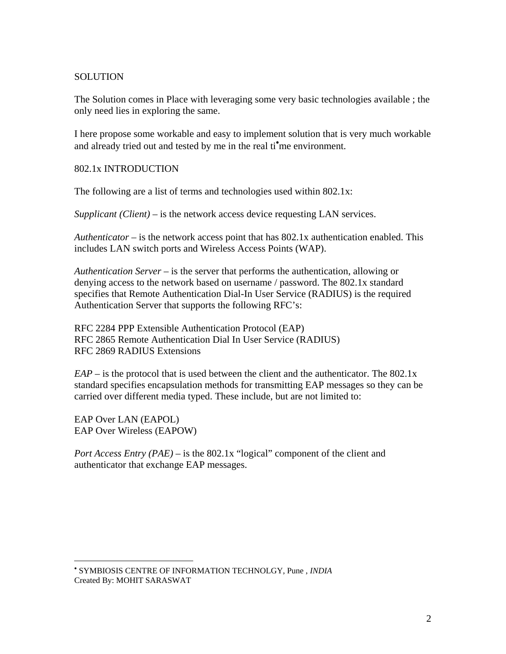### **SOLUTION**

The Solution comes in Place with leveraging some very basic technologies available ; the only need lies in exploring the same.

I here propose some workable and easy to implement solution that is very much workable and already tried out and tested by me in the real ti<sup>o</sup>me environment.

#### 802.1x INTRODUCTION

The following are a list of terms and technologies used within 802.1x:

*Supplicant (Client)* – is the network access device requesting LAN services.

*Authenticator* – is the network access point that has 802.1x authentication enabled. This includes LAN switch ports and Wireless Access Points (WAP).

*Authentication Server* – is the server that performs the authentication, allowing or denying access to the network based on username / password. The 802.1x standard specifies that Remote Authentication Dial-In User Service (RADIUS) is the required Authentication Server that supports the following RFC's:

RFC 2284 PPP Extensible Authentication Protocol (EAP) RFC 2865 Remote Authentication Dial In User Service (RADIUS) RFC 2869 RADIUS Extensions

 $EAP -$  is the protocol that is used between the client and the authenticator. The 802.1x standard specifies encapsulation methods for transmitting EAP messages so they can be carried over different media typed. These include, but are not limited to:

EAP Over LAN (EAPOL) EAP Over Wireless (EAPOW)

 $\overline{a}$ 

*Port Access Entry (PAE)* – is the 802.1x "logical" component of the client and authenticator that exchange EAP messages.

<span id="page-1-0"></span><sup>•</sup> SYMBIOSIS CENTRE OF INFORMATION TECHNOLGY, Pune , *INDIA*  Created By: MOHIT SARASWAT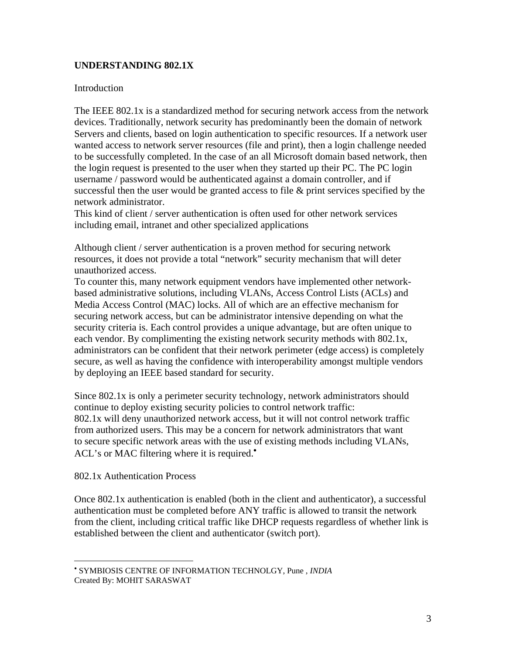## **UNDERSTANDING 802.1X**

### Introduction

The IEEE 802.1x is a standardized method for securing network access from the network devices. Traditionally, network security has predominantly been the domain of network Servers and clients, based on login authentication to specific resources. If a network user wanted access to network server resources (file and print), then a login challenge needed to be successfully completed. In the case of an all Microsoft domain based network, then the login request is presented to the user when they started up their PC. The PC login username / password would be authenticated against a domain controller, and if successful then the user would be granted access to file & print services specified by the network administrator.

This kind of client / server authentication is often used for other network services including email, intranet and other specialized applications

Although client / server authentication is a proven method for securing network resources, it does not provide a total "network" security mechanism that will deter unauthorized access.

To counter this, many network equipment vendors have implemented other networkbased administrative solutions, including VLANs, Access Control Lists (ACLs) and Media Access Control (MAC) locks. All of which are an effective mechanism for securing network access, but can be administrator intensive depending on what the security criteria is. Each control provides a unique advantage, but are often unique to each vendor. By complimenting the existing network security methods with 802.1x, administrators can be confident that their network perimeter (edge access) is completely secure, as well as having the confidence with interoperability amongst multiple vendors by deploying an IEEE based standard for security.

Since 802.1x is only a perimeter security technology, network administrators should continue to deploy existing security policies to control network traffic: 802.1x will deny unauthorized network access, but it will not control network traffic from authorized users. This may be a concern for network administrators that want to secure specific network areas with the use of existing methods including VLANs, ACL's or MAC filtering where it is required.<sup>[•](#page-2-0)</sup>

802.1x Authentication Process

 $\overline{a}$ 

Once 802.1x authentication is enabled (both in the client and authenticator), a successful authentication must be completed before ANY traffic is allowed to transit the network from the client, including critical traffic like DHCP requests regardless of whether link is established between the client and authenticator (switch port).

<span id="page-2-0"></span><sup>•</sup> SYMBIOSIS CENTRE OF INFORMATION TECHNOLGY, Pune , *INDIA*  Created By: MOHIT SARASWAT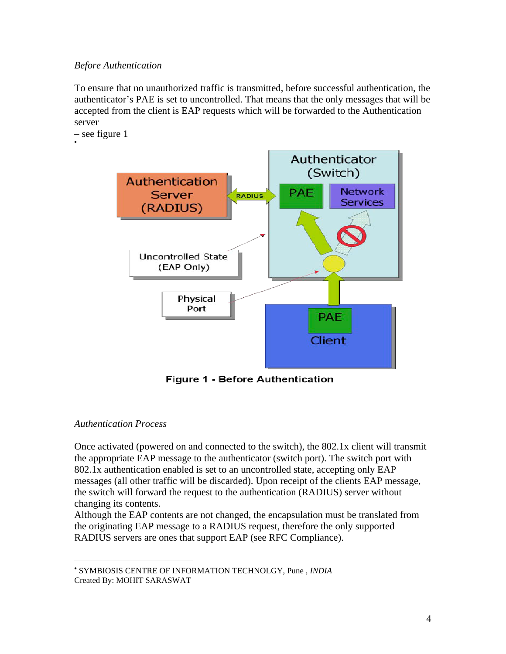## *Before Authentication*

To ensure that no unauthorized traffic is transmitted, before successful authentication, the authenticator's PAE is set to uncontrolled. That means that the only messages that will be accepted from the client is EAP requests which will be forwarded to the Authentication server

– see figure 1 [•](#page-3-0)



**Figure 1 - Before Authentication** 

## *Authentication Process*

 $\overline{a}$ 

Once activated (powered on and connected to the switch), the 802.1x client will transmit the appropriate EAP message to the authenticator (switch port). The switch port with 802.1x authentication enabled is set to an uncontrolled state, accepting only EAP messages (all other traffic will be discarded). Upon receipt of the clients EAP message, the switch will forward the request to the authentication (RADIUS) server without changing its contents.

Although the EAP contents are not changed, the encapsulation must be translated from the originating EAP message to a RADIUS request, therefore the only supported RADIUS servers are ones that support EAP (see RFC Compliance).

<span id="page-3-0"></span><sup>•</sup> SYMBIOSIS CENTRE OF INFORMATION TECHNOLGY, Pune , *INDIA*  Created By: MOHIT SARASWAT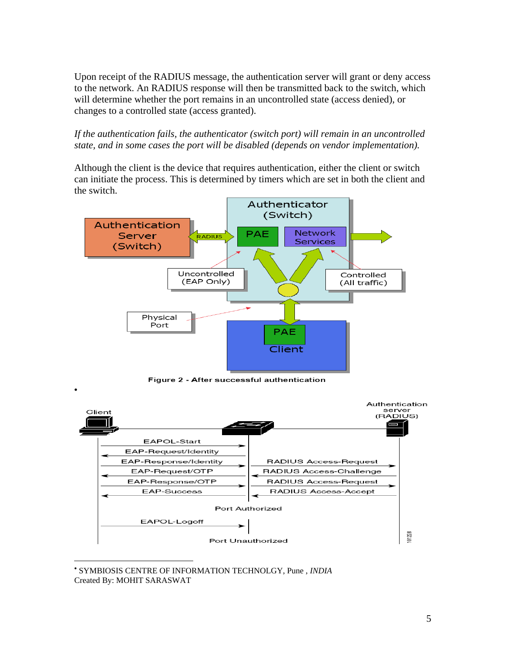Upon receipt of the RADIUS message, the authentication server will grant or deny access to the network. An RADIUS response will then be transmitted back to the switch, which will determine whether the port remains in an uncontrolled state (access denied), or changes to a controlled state (access granted).

*If the authentication fails, the authenticator (switch port) will remain in an uncontrolled state, and in some cases the port will be disabled (depends on vendor implementation).*

Although the client is the device that requires authentication, either the client or switch can initiate the process. This is determined by timers which are set in both the client and the switch.



Figure 2 - After successful authentication

[•](#page-4-0)

1



<span id="page-4-0"></span><sup>•</sup> SYMBIOSIS CENTRE OF INFORMATION TECHNOLGY, Pune , *INDIA*  Created By: MOHIT SARASWAT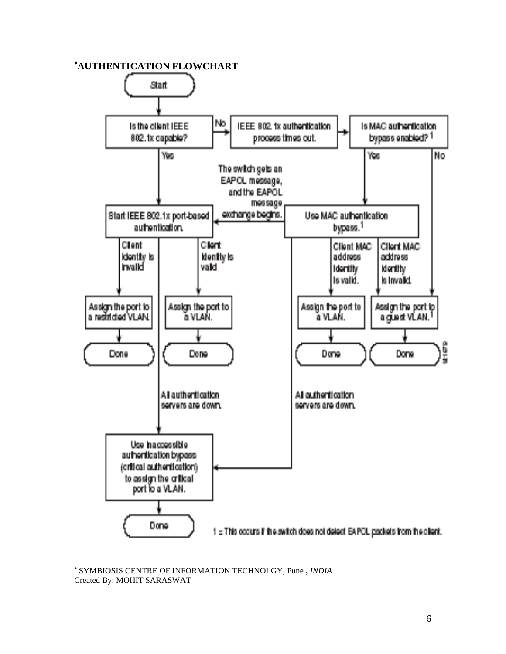## [•](#page-5-0) **AUTHENTICATION FLOWCHART**



<span id="page-5-0"></span><sup>•</sup> SYMBIOSIS CENTRE OF INFORMATION TECHNOLGY, Pune , *INDIA*  Created By: MOHIT SARASWAT

1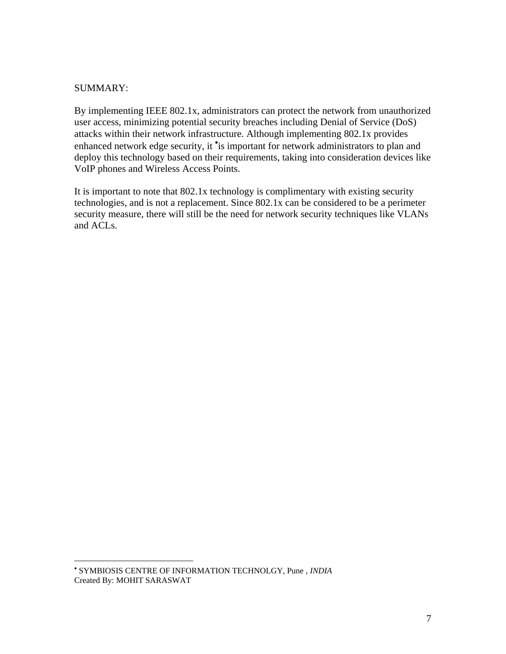### SUMMARY:

1

By implementing IEEE 802.1x, administrators can protect the network from unauthorized user access, minimizing potential security breaches including Denial of Service (DoS) attacks within their network infrastructure. Although implementing 802.1x provides enhanced network edge security, it is important for network administrators to plan and deploy this technology based on their requirements, taking into consideration devices like VoIP phones and Wireless Access Points.

It is important to note that 802.1x technology is complimentary with existing security technologies, and is not a replacement. Since 802.1x can be considered to be a perimeter security measure, there will still be the need for network security techniques like VLANs and ACLs.

<span id="page-6-0"></span><sup>•</sup> SYMBIOSIS CENTRE OF INFORMATION TECHNOLGY, Pune , *INDIA*  Created By: MOHIT SARASWAT